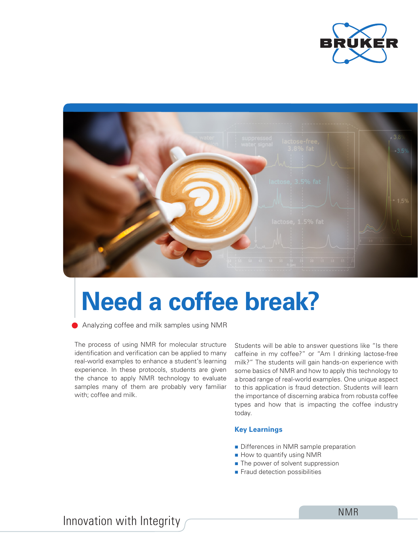



# **Need a coffee break?**

Analyzing coffee and milk samples using NMR

The process of using NMR for molecular structure identification and verification can be applied to many real-world examples to enhance a student's learning experience. In these protocols, students are given the chance to apply NMR technology to evaluate samples many of them are probably very familiar with; coffee and milk.

Students will be able to answer questions like "Is there caffeine in my coffee?" or "Am I drinking lactose-free milk?" The students will gain hands-on experience with some basics of NMR and how to apply this technology to a broad range of real-world examples. One unique aspect to this application is fraud detection. Students will learn the importance of discerning arabica from robusta coffee types and how that is impacting the coffee industry today.

## **Key Learnings**

- Differences in NMR sample preparation
- How to quantify using NMR
- The power of solvent suppression
- **Fraud detection possibilities**